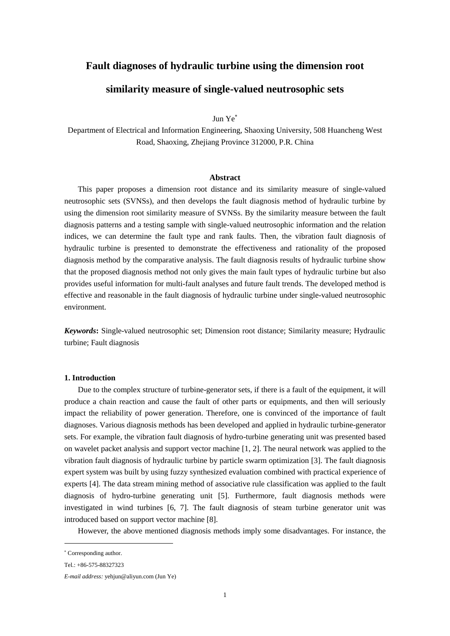# **Fault diagnoses of hydraulic turbine using the dimension root**

# **similarity measure of single-valued neutrosophic sets**

Jun Ye

Department of Electrical and Information Engineering, Shaoxing University, 508 Huancheng West Road, Shaoxing, Zhejiang Province 312000, P.R. China

## **Abstract**

This paper proposes a dimension root distance and its similarity measure of single-valued neutrosophic sets (SVNSs), and then develops the fault diagnosis method of hydraulic turbine by using the dimension root similarity measure of SVNSs. By the similarity measure between the fault diagnosis patterns and a testing sample with single-valued neutrosophic information and the relation indices, we can determine the fault type and rank faults. Then, the vibration fault diagnosis of hydraulic turbine is presented to demonstrate the effectiveness and rationality of the proposed diagnosis method by the comparative analysis. The fault diagnosis results of hydraulic turbine show that the proposed diagnosis method not only gives the main fault types of hydraulic turbine but also provides useful information for multi-fault analyses and future fault trends. The developed method is effective and reasonable in the fault diagnosis of hydraulic turbine under single-valued neutrosophic environment.

*Keywords***:** Single-valued neutrosophic set; Dimension root distance; Similarity measure; Hydraulic turbine; Fault diagnosis

# **1. Introduction**

Due to the complex structure of turbine-generator sets, if there is a fault of the equipment, it will produce a chain reaction and cause the fault of other parts or equipments, and then will seriously impact the reliability of power generation. Therefore, one is convinced of the importance of fault diagnoses. Various diagnosis methods has been developed and applied in hydraulic turbine-generator sets. For example, the vibration fault diagnosis of hydro-turbine generating unit was presented based on wavelet packet analysis and support vector machine [1, 2]. The neural network was applied to the vibration fault diagnosis of hydraulic turbine by particle swarm optimization [3]. The fault diagnosis expert system was built by using fuzzy synthesized evaluation combined with practical experience of experts [4]. The data stream mining method of associative rule classification was applied to the fault diagnosis of hydro-turbine generating unit [5]. Furthermore, fault diagnosis methods were investigated in wind turbines [6, 7]. The fault diagnosis of steam turbine generator unit was introduced based on support vector machine [8].

However, the above mentioned diagnosis methods imply some disadvantages. For instance, the

 Corresponding author.

Tel.: +86-575-88327323

*E-mail address:* yehjun@aliyun.com (Jun Ye)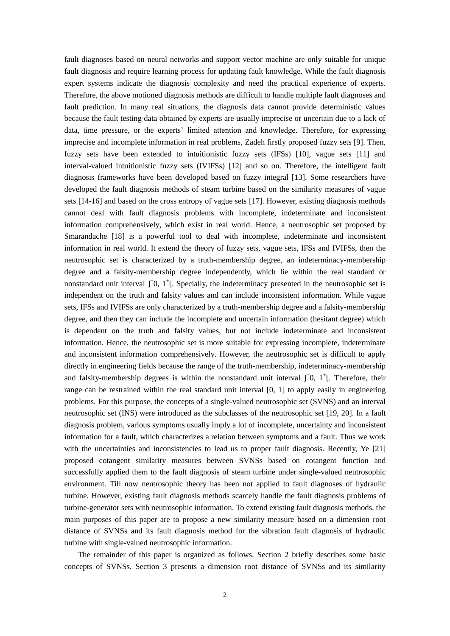fault diagnoses based on neural networks and support vector machine are only suitable for unique fault diagnosis and require learning process for updating fault knowledge. While the fault diagnosis expert systems indicate the diagnosis complexity and need the practical experience of experts. Therefore, the above motioned diagnosis methods are difficult to handle multiple fault diagnoses and fault prediction. In many real situations, the diagnosis data cannot provide deterministic values because the fault testing data obtained by experts are usually imprecise or uncertain due to a lack of data, time pressure, or the experts' limited attention and knowledge. Therefore, for expressing imprecise and incomplete information in real problems, Zadeh firstly proposed fuzzy sets [9]. Then, fuzzy sets have been extended to intuitionistic fuzzy sets (IFSs) [10], vague sets [11] and interval-valued intuitionistic fuzzy sets (IVIFSs) [12] and so on. Therefore, the intelligent fault diagnosis frameworks have been developed based on fuzzy integral [13]. Some researchers have developed the fault diagnosis methods of steam turbine based on the similarity measures of vague sets [14-16] and based on the cross entropy of vague sets [17]. However, existing diagnosis methods cannot deal with fault diagnosis problems with incomplete, indeterminate and inconsistent information comprehensively, which exist in real world. Hence, a neutrosophic set proposed by Smarandache [18] is a powerful tool to deal with incomplete, indeterminate and inconsistent information in real world. It extend the theory of fuzzy sets, vague sets, IFSs and IVIFSs, then the neutrosophic set is characterized by a truth-membership degree, an indeterminacy-membership degree and a falsity-membership degree independently, which lie within the real standard or nonstandard unit interval ]<sup>−</sup>0, 1<sup>+</sup>[. Specially, the indeterminacy presented in the neutrosophic set is independent on the truth and falsity values and can include inconsistent information. While vague sets, IFSs and IVIFSs are only characterized by a truth-membership degree and a falsity-membership degree, and then they can include the incomplete and uncertain information (hesitant degree) which is dependent on the truth and falsity values, but not include indeterminate and inconsistent information. Hence, the neutrosophic set is more suitable for expressing incomplete, indeterminate and inconsistent information comprehensively. However, the neutrosophic set is difficult to apply directly in engineering fields because the range of the truth-membership, indeterminacy-membership and falsity-membership degrees is within the nonstandard unit interval  $]$ <sup>-</sup>0,  $1^+$ [. Therefore, their range can be restrained within the real standard unit interval [0, 1] to apply easily in engineering problems. For this purpose, the concepts of a single-valued neutrosophic set (SVNS) and an interval neutrosophic set (INS) were introduced as the subclasses of the neutrosophic set [19, 20]. In a fault diagnosis problem, various symptoms usually imply a lot of incomplete, uncertainty and inconsistent information for a fault, which characterizes a relation between symptoms and a fault. Thus we work with the uncertainties and inconsistencies to lead us to proper fault diagnosis. Recently, Ye [21] proposed cotangent similarity measures between SVNSs based on cotangent function and successfully applied them to the fault diagnosis of steam turbine under single-valued neutrosophic environment. Till now neutrosophic theory has been not applied to fault diagnoses of hydraulic turbine. However, existing fault diagnosis methods scarcely handle the fault diagnosis problems of turbine-generator sets with neutrosophic information. To extend existing fault diagnosis methods, the main purposes of this paper are to propose a new similarity measure based on a dimension root distance of SVNSs and its fault diagnosis method for the vibration fault diagnosis of hydraulic turbine with single-valued neutrosophic information.

The remainder of this paper is organized as follows. Section 2 briefly describes some basic concepts of SVNSs. Section 3 presents a dimension root distance of SVNSs and its similarity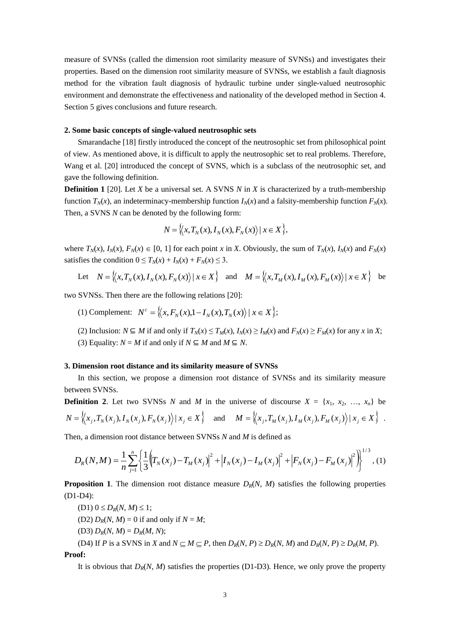measure of SVNSs (called the dimension root similarity measure of SVNSs) and investigates their properties. Based on the dimension root similarity measure of SVNSs, we establish a fault diagnosis method for the vibration fault diagnosis of hydraulic turbine under single-valued neutrosophic environment and demonstrate the effectiveness and nationality of the developed method in Section 4. Section 5 gives conclusions and future research.

#### **2. Some basic concepts of single-valued neutrosophic sets**

Smarandache [18] firstly introduced the concept of the neutrosophic set from philosophical point of view. As mentioned above, it is difficult to apply the neutrosophic set to real problems. Therefore, Wang et al. [20] introduced the concept of SVNS, which is a subclass of the neutrosophic set, and gave the following definition.

**Definition 1** [20]. Let *X* be a universal set. A SVNS *N* in *X* is characterized by a truth-membership function  $T_N(x)$ , an indeterminacy-membership function  $I_N(x)$  and a falsity-membership function  $F_N(x)$ . Then, a SVNS *N* can be denoted by the following form:

$$
N = \langle\langle x, T_N(x), I_N(x), F_N(x)\rangle \,|\, x \in X\rangle,
$$

where  $T_N(x)$ ,  $I_N(x)$ ,  $F_N(x) \in [0, 1]$  for each point x in X. Obviously, the sum of  $T_N(x)$ ,  $I_N(x)$  and  $F_N(x)$ satisfies the condition  $0 \le T_N(x) + I_N(x) + F_N(x) \le 3$ .

Let 
$$
N = \{(x, T_N(x), I_N(x), F_N(x)) | x \in X\}
$$
 and  $M = \{(x, T_M(x), I_M(x), F_M(x)) | x \in X\}$  be

two SVNSs. Then there are the following relations [20]:

- (1) Complement:  $N^c = \{(x, F_N(x), 1 I_N(x), T_N(x)) \mid x \in X\};$
- (2) Inclusion:  $N \subseteq M$  if and only if  $T_N(x) \le T_M(x)$ ,  $I_N(x) \ge I_M(x)$  and  $F_N(x) \ge F_M(x)$  for any x in X;
- (3) Equality:  $N = M$  if and only if  $N \subseteq M$  and  $M \subseteq N$ .

#### **3. Dimension root distance and its similarity measure of SVNSs**

In this section, we propose a dimension root distance of SVNSs and its similarity measure between SVNSs.

**Definition 2.** Let two SVNSs *N* and *M* in the universe of discourse  $X = \{x_1, x_2, ..., x_n\}$  be  $N = \langle x_j, T_N(x_j), I_N(x_j), F_N(x_j) \rangle | x_j \in X \rangle$  and  $M = \langle x_j, T_M(x_j), I_M(x_j), F_M(x_j) \rangle | x_j \in X \rangle$ .

Then, a dimension root distance between SVNSs *N* and *M* is defined as

$$
D_{R}(N,M) = \frac{1}{n} \sum_{j=1}^{n} \left\{ \frac{1}{3} \left( T_{N}(x_{j}) - T_{M}(x_{j}) \right)^{2} + \left| I_{N}(x_{j}) - I_{M}(x_{j}) \right|^{2} + \left| F_{N}(x_{j}) - F_{M}(x_{j}) \right|^{2} \right\}^{1/3}, (1)
$$

**Proposition 1**. The dimension root distance measure  $D_R(N, M)$  satisfies the following properties (D1-D4):

- $(D1)$   $0 \leq D_R(N, M) \leq 1$ ;
- (D2)  $D_R(N, M) = 0$  if and only if  $N = M$ ;
- (D3)  $D_R(N, M) = D_R(M, N);$

(D4) If P is a SVNS in X and  $N \subseteq M \subseteq P$ , then  $D_R(N, P) \ge D_R(N, M)$  and  $D_R(N, P) \ge D_R(M, P)$ . **Proof:**

It is obvious that  $D_R(N, M)$  satisfies the properties (D1-D3). Hence, we only prove the property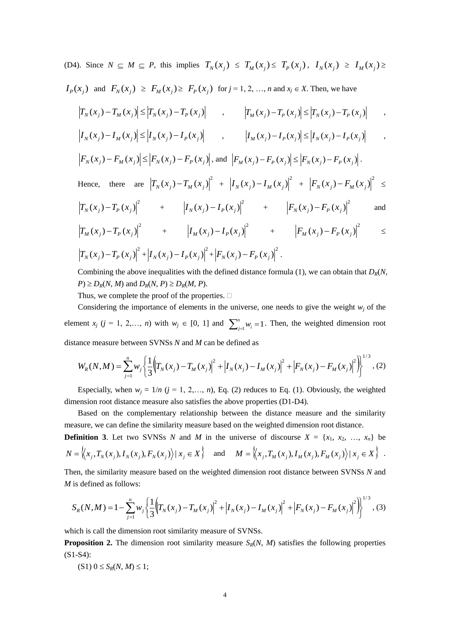(D4). Since 
$$
N \subseteq M \subseteq P
$$
, this implies  $T_N(x_j) \leq T_M(x_j) \leq T_P(x_j)$ ,  $I_N(x_j) \geq I_M(x_j) \geq I_N(x_j) \geq I_P(x_j)$  and  $F_N(x_j) \geq F_M(x_j) \geq F_P(x_j)$  for  $j = 1, 2, ..., n$  and  $x_j \in X$ . Then, we have  
\n
$$
|T_N(x_j) - T_M(x_j)| \leq |T_N(x_j) - T_P(x_j)|
$$
,  $|T_M(x_j) - T_P(x_j)| \leq |T_N(x_j) - T_P(x_j)|$ ,  
\n
$$
|I_N(x_j) - I_M(x_j)| \leq |I_N(x_j) - I_P(x_j)|
$$
,  $|I_M(x_j) - I_P(x_j)| \leq |I_N(x_j) - I_P(x_j)|$ ,  
\n
$$
|F_N(x_j) - F_M(x_j)| \leq |F_N(x_j) - F_P(x_j)|
$$
, and  $|F_M(x_j) - F_P(x_j)| \leq |F_N(x_j) - F_P(x_j)|$ .  
\nHence, there are  $|T_N(x_j) - T_M(x_j)|^2 + |I_N(x_j) - I_M(x_j)|^2 + |F_N(x_j) - F_M(x_j)|^2 \leq$   
\n
$$
|T_N(x_j) - T_P(x_j)|^2 + |I_N(x_j) - I_P(x_j)|^2 + |F_N(x_j) - F_P(x_j)|^2
$$
 and  
\n
$$
|T_M(x_j) - T_P(x_j)|^2 + |I_N(x_j) - I_P(x_j)|^2 + |F_N(x_j) - F_P(x_j)|^2
$$
  
\n
$$
|T_N(x_j) - T_P(x_j)|^2 + |I_N(x_j) - I_P(x_j)|^2 + |F_N(x_j) - F_P(x_j)|^2
$$
.  
\nCombining the above inequalities with the defined distance formula (1) we can obtain that  $D_0(N)$ .

Combining the above inequalities with the defined distance formula (1), we can obtain that *DR*(*N*,  $P \ge D_R(N, M)$  and  $D_R(N, P) \ge D_R(M, P)$ .

Thus, we complete the proof of the properties.  $\Box$ 

Considering the importance of elements in the universe, one needs to give the weight  $w_i$  of the element *x<sub>j</sub>* (*j* = 1, 2,…, *n*) with  $w_j \in [0, 1]$  and  $\sum_{j=1}^{n} w_j = 1$ *n*  $\psi_i^h = 1$ . Then, the weighted dimension root distance measure between SVNSs *N* and *M* can be defined as

$$
W_R(N,M) = \sum_{j=1}^n w_j \left\{ \frac{1}{3} \left( T_N(x_j) - T_M(x_j) \right)^2 + \left| I_N(x_j) - I_M(x_j) \right|^2 + \left| F_N(x_j) - F_M(x_j) \right|^2 \right\}^{1/3}, (2)
$$

Especially, when  $w_j = 1/n$  ( $j = 1, 2, ..., n$ ), Eq. (2) reduces to Eq. (1). Obviously, the weighted dimension root distance measure also satisfies the above properties (D1-D4).

Based on the complementary relationship between the distance measure and the similarity measure, we can define the similarity measure based on the weighted dimension root distance.

**Definition 3**. Let two SVNSs *N* and *M* in the universe of discourse  $X = \{x_1, x_2, ..., x_n\}$  be  $N = \langle x_j, T_N(x_j), I_N(x_j), F_N(x_j) \rangle | x_j \in X \rangle$  and  $M = \langle x_j, T_M(x_j), I_M(x_j), F_M(x_j) \rangle | x_j \in X \rangle$ .

Then, the similarity measure based on the weighted dimension root distance between SVNSs *N* and *M* is defined as follows:

$$
S_R(N,M) = 1 - \sum_{j=1}^n w_j \left\{ \frac{1}{3} \left( T_N(x_j) - T_M(x_j) \right)^2 + \left| I_N(x_j) - I_M(x_j) \right|^2 + \left| F_N(x_j) - F_M(x_j) \right|^2 \right\}^{1/3},
$$
(3)

which is call the dimension root similarity measure of SVNSs.

**Proposition 2.** The dimension root similarity measure  $S_R(N, M)$  satisfies the following properties (S1-S4):

$$
(S1) 0 \leq S_R(N, M) \leq 1;
$$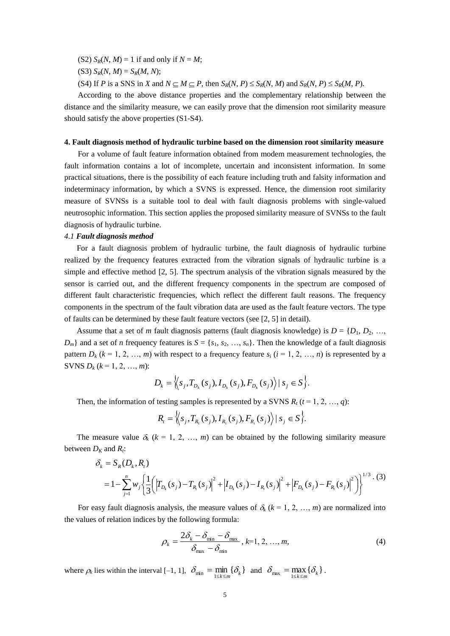(S2)  $S_R(N, M) = 1$  if and only if  $N = M$ ;

- (S3)  $S_R(N, M) = S_R(M, N);$
- (S4) If P is a SNS in X and  $N \subseteq M \subseteq P$ , then  $S_R(N, P) \leq S_R(N, M)$  and  $S_R(N, P) \leq S_R(M, P)$ .

According to the above distance properties and the complementary relationship between the distance and the similarity measure, we can easily prove that the dimension root similarity measure should satisfy the above properties (S1-S4).

### **4. Fault diagnosis method of hydraulic turbine based on the dimension root similarity measure**

For a volume of fault feature information obtained from modem measurement technologies, the fault information contains a lot of incomplete, uncertain and inconsistent information. In some practical situations, there is the possibility of each feature including truth and falsity information and indeterminacy information, by which a SVNS is expressed. Hence, the dimension root similarity measure of SVNSs is a suitable tool to deal with fault diagnosis problems with single-valued neutrosophic information. This section applies the proposed similarity measure of SVNSs to the fault diagnosis of hydraulic turbine.

# *4.1 Fault diagnosis method*

For a fault diagnosis problem of hydraulic turbine, the fault diagnosis of hydraulic turbine realized by the frequency features extracted from the vibration signals of hydraulic turbine is a simple and effective method [2, 5]. The spectrum analysis of the vibration signals measured by the sensor is carried out, and the different frequency components in the spectrum are composed of different fault characteristic frequencies, which reflect the different fault reasons. The frequency components in the spectrum of the fault vibration data are used as the fault feature vectors. The type of faults can be determined by these fault feature vectors (see [2, 5] in detail).

Assume that a set of *m* fault diagnosis patterns (fault diagnosis knowledge) is  $D = \{D_1, D_2, \ldots, D_n\}$  $D_m$ } and a set of *n* frequency features is  $S = \{s_1, s_2, ..., s_n\}$ . Then the knowledge of a fault diagnosis pattern  $D_k$  ( $k = 1, 2, ..., m$ ) with respect to a frequency feature  $s_i$  ( $i = 1, 2, ..., n$ ) is represented by a **SVNS**  $D_k$  ( $k = 1, 2, ..., m$ ):

$$
D_k = \Big\langle \Big\langle s_j, T_{D_k}(s_j), I_{D_k}(s_j), F_{D_k}(s_j) \Big\rangle \, | \, s_j \in S \Big\}.
$$

Then, the information of testing samples is represented by a SVNS  $R_t$  ( $t = 1, 2, ..., q$ ):

$$
R_{i} = \langle \langle s_{j}, T_{R_{i}}(s_{j}), I_{R_{i}}(s_{j}), F_{R_{i}}(s_{j}) \rangle | s_{j} \in S \rangle.
$$

The measure value  $\delta_k$  ( $k = 1, 2, ..., m$ ) can be obtained by the following similarity measure between  $D_K$  and  $R_t$ :

$$
\delta_{k} = S_{R}(D_{k}, R_{i})
$$
\n
$$
= 1 - \sum_{j=1}^{n} w_{j} \left\{ \frac{1}{3} \left( \left| T_{D_{k}}(s_{j}) - T_{R_{i}}(s_{j}) \right|^{2} + \left| I_{D_{k}}(s_{j}) - I_{R_{i}}(s_{j}) \right|^{2} + \left| F_{D_{k}}(s_{j}) - F_{R_{i}}(s_{j}) \right|^{2} \right) \right\}^{1/3} \cdot (3)
$$

For easy fault diagnosis analysis, the measure values of  $\delta_k$  ( $k = 1, 2, ..., m$ ) are normalized into the values of relation indices by the following formula:

$$
\rho_k = \frac{2\delta_k - \delta_{\min} - \delta_{\max}}{\delta_{\max} - \delta_{\min}}, k=1, 2, ..., m,
$$
\n(4)

where  $\rho_k$  lies within the interval [-1, 1],  $\delta_{\min} = \min_{1 \le k \le m} {\delta_k}$  $\delta_{\min} = \min_{1 \le k \le m} {\delta_k}$  and  $\delta_{\max} = \max_{1 \le k \le m} {\delta_k}$  $\delta_{\text{max}} = \max \{ \delta$  $= \max_{1 \leq k \leq m} \{\delta_k\}.$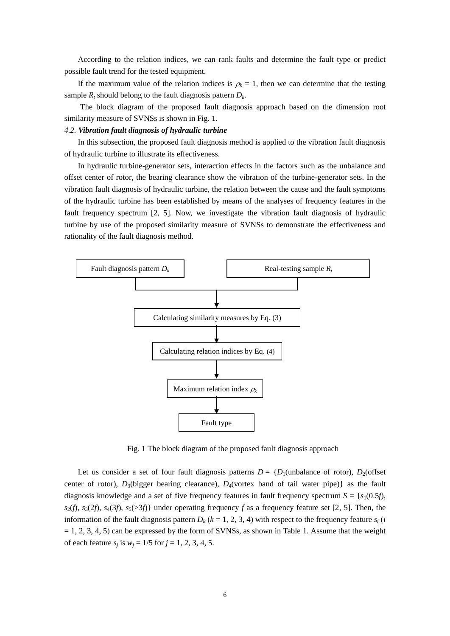According to the relation indices, we can rank faults and determine the fault type or predict possible fault trend for the tested equipment.

If the maximum value of the relation indices is  $\rho_k = 1$ , then we can determine that the testing sample  $R_t$  should belong to the fault diagnosis pattern  $D_k$ .

The block diagram of the proposed fault diagnosis approach based on the dimension root similarity measure of SVNSs is shown in Fig. 1.

# *4.2. Vibration fault diagnosis of hydraulic turbine*

In this subsection, the proposed fault diagnosis method is applied to the vibration fault diagnosis of hydraulic turbine to illustrate its effectiveness.

In hydraulic turbine-generator sets, interaction effects in the factors such as the unbalance and offset center of rotor, the bearing clearance show the vibration of the turbine-generator sets. In the vibration fault diagnosis of hydraulic turbine, the relation between the cause and the fault symptoms of the hydraulic turbine has been established by means of the analyses of frequency features in the fault frequency spectrum [2, 5]. Now, we investigate the vibration fault diagnosis of hydraulic turbine by use of the proposed similarity measure of SVNSs to demonstrate the effectiveness and rationality of the fault diagnosis method.



Fig. 1 The block diagram of the proposed fault diagnosis approach

Let us consider a set of four fault diagnosis patterns  $D = \{D_1$ (unbalance of rotor),  $D_2$ (offset center of rotor),  $D_3$ (bigger bearing clearance),  $D_4$ (vortex band of tail water pipe)} as the fault diagnosis knowledge and a set of five frequency features in fault frequency spectrum  $S = \{s_1(0.5f),$  $s_2(f)$ ,  $s_3(2f)$ ,  $s_4(3f)$ ,  $s_5(>3f)$ } under operating frequency *f* as a frequency feature set [2, 5]. Then, the information of the fault diagnosis pattern  $D_k$  ( $k = 1, 2, 3, 4$ ) with respect to the frequency feature  $s_i$  (*i*  $= 1, 2, 3, 4, 5$  can be expressed by the form of SVNSs, as shown in Table 1. Assume that the weight of each feature  $s_j$  is  $w_j = 1/5$  for  $j = 1, 2, 3, 4, 5$ .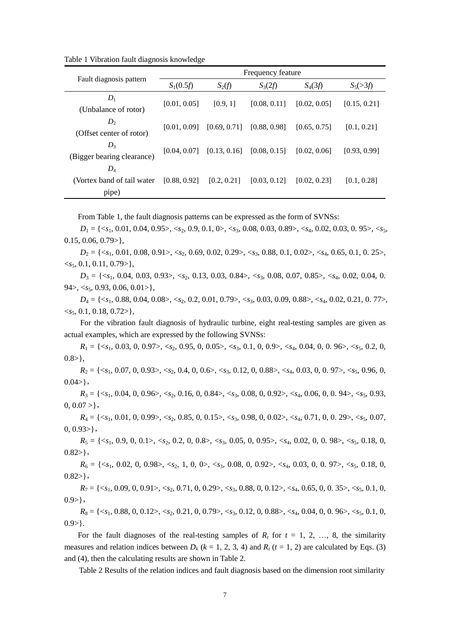Table 1 Vibration fault diagnosis knowledge

|                                               | Frequency feature |              |              |              |              |  |
|-----------------------------------------------|-------------------|--------------|--------------|--------------|--------------|--|
| Fault diagnosis pattern                       | $S_1(0.5f)$       | $S_2(f)$     | $S_3(2f)$    | $S_4(3f)$    | $S_5(>3f)$   |  |
| $D_1$<br>(Unbalance of rotor)                 | [0.01, 0.05]      | [0.9, 1]     | [0.08, 0.11] | [0.02, 0.05] | [0.15, 0.21] |  |
| $D_{2}$<br>(Offset center of rotor)           | [0.01, 0.09]      | [0.69, 0.71] | [0.88, 0.98] | [0.65, 0.75] | [0.1, 0.21]  |  |
| $D_3$<br>(Bigger bearing clearance)           | [0.04, 0.07]      | [0.13, 0.16] | [0.08, 0.15] | [0.02, 0.06] | [0.93, 0.99] |  |
| $D_4$<br>(Vortex band of tail water)<br>pipe) | [0.88, 0.92]      | [0.2, 0.21]  | [0.03, 0.12] | [0.02, 0.23] | [0.1, 0.28]  |  |

From Table 1, the fault diagnosis patterns can be expressed as the form of SVNSs:

*D*<sup>1</sup> = {<*s*1, 0.01, 0.04, 0.95>, <*s*2, 0.9, 0.1, 0>, <*s*3, 0.08, 0.03, 0.89>, <*s*4, 0.02, 0.03, 0. 95>, <*s*5,  $0.15, 0.06, 0.79$ ,

*D*<sup>2</sup> = {<*s*1, 0.01, 0.08, 0.91>, <*s*2, 0.69, 0.02, 0.29>, <*s*3, 0.88, 0.1, 0.02>, <*s*4, 0.65, 0.1, 0. 25>,  $\langle s_5, 0.1, 0.11, 0.79 \rangle$ ,

*D*<sup>3</sup> = {<*s*1, 0.04, 0.03, 0.93>, <*s*2, 0.13, 0.03, 0.84>, <*s*3, 0.08, 0.07, 0.85>, <*s*4, 0.02, 0.04, 0.  $94$ ,  $\langle s_5, 0.93, 0.06, 0.01 \rangle$ ,

*D*<sup>4</sup> = {<*s*1, 0.88, 0.04, 0.08>, <*s*2, 0.2, 0.01, 0.79>, <*s*3, 0.03, 0.09, 0.88>, <*s*4, 0.02, 0.21, 0. 77>,  $\langle s_5, 0.1, 0.18, 0.72 \rangle$ ,

For the vibration fault diagnosis of hydraulic turbine, eight real-testing samples are given as actual examples, which are expressed by the following SVNSs:

 $R_1 = \{ \langle s_1, 0.03, 0, 0.97 \rangle, \langle s_2, 0.95, 0, 0.05 \rangle, \langle s_3, 0.1, 0, 0.9 \rangle, \langle s_4, 0.04, 0, 0.96 \rangle, \langle s_5, 0.2, 0,$  $0.8>\},$ 

*R*<sup>2</sup> = {<*s*1, 0.07, 0, 0.93>, <*s*2, 0.4, 0, 0.6>, <*s*3, 0.12, 0, 0.88>, <*s*4, 0.03, 0, 0. 97>, <*s*5, 0.96, 0,  $0.04>\},$ 

*R*<sup>3</sup> = {<*s*1, 0.04, 0, 0.96>, <*s*2, 0.16, 0, 0.84>, <*s*3, 0.08, 0, 0.92>, <*s*4, 0.06, 0, 0. 94>, <*s*5, 0.93,  $0, 0.07 > \},$ 

*R*<sup>4</sup> = {<*s*1, 0.01, 0, 0.99>, <*s*2, 0.85, 0, 0.15>, <*s*3, 0.98, 0, 0.02>, <*s*4, 0.71, 0, 0. 29>, <*s*5, 0.07,  $0, 0.93$ ,

*R*<sup>5</sup> = {<*s*1, 0.9, 0, 0.1>, <*s*2, 0.2, 0, 0.8>, <*s*3, 0.05, 0, 0.95>, <*s*4, 0.02, 0, 0. 98>, <*s*5, 0.18, 0,  $0.82$ },

*R*<sup>6</sup> = {<*s*1, 0.02, 0, 0.98>, <*s*2, 1, 0, 0>, <*s*3, 0.08, 0, 0.92>, <*s*4, 0.03, 0, 0. 97>, <*s*5, 0.18, 0,  $0.82>\},$ 

 $R_7 = \{ \langle s_1, 0.09, 0, 0.91 \rangle, \langle s_2, 0.71, 0, 0.29 \rangle, \langle s_3, 0.88, 0, 0.12 \rangle, \langle s_4, 0.65, 0, 0.35 \rangle, \langle s_5, 0.1, 0,$  $0.9>\},$ 

*R*<sup>8</sup> = {<*s*1, 0.88, 0, 0.12>, <*s*2, 0.21, 0, 0.79>, <*s*3, 0.12, 0, 0.88>, <*s*4, 0.04, 0, 0. 96>, <*s*5, 0.1, 0,  $0.9>\}.$ 

For the fault diagnoses of the real-testing samples of  $R_t$  for  $t = 1, 2, \ldots, 8$ , the similarity measures and relation indices between  $D_k$  ( $k = 1, 2, 3, 4$ ) and  $R_t$  ( $t = 1, 2$ ) are calculated by Eqs. (3) and (4), then the calculating results are shown in Table 2.

Table 2 Results of the relation indices and fault diagnosis based on the dimension root similarity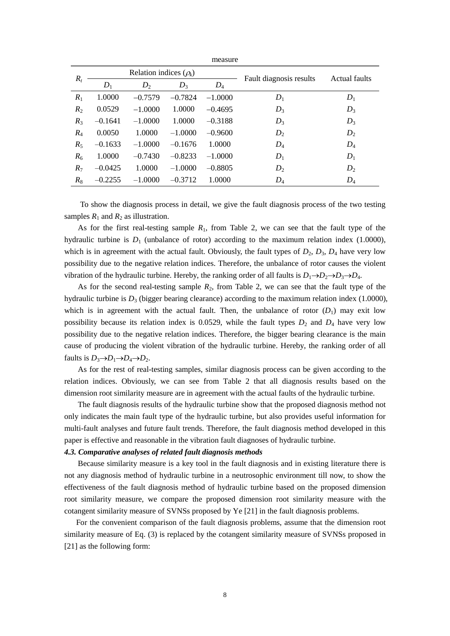|       |                             |           |           | measure   |                         |       |
|-------|-----------------------------|-----------|-----------|-----------|-------------------------|-------|
| $R_t$ | Relation indices $(\rho_k)$ |           |           |           | Actual faults           |       |
|       | $D_1$                       | $D_2$     | $D_3$     | $D_4$     | Fault diagnosis results |       |
| $R_1$ | 1.0000                      | $-0.7579$ | $-0.7824$ | $-1.0000$ | $D_1$                   | $D_1$ |
| $R_2$ | 0.0529                      | $-1.0000$ | 1.0000    | $-0.4695$ | $D_3$                   | $D_3$ |
| $R_3$ | $-0.1641$                   | $-1.0000$ | 1.0000    | $-0.3188$ | $D_3$                   | $D_3$ |
| $R_4$ | 0.0050                      | 1.0000    | $-1.0000$ | $-0.9600$ | $D_2$                   | $D_2$ |
| $R_5$ | $-0.1633$                   | $-1.0000$ | $-0.1676$ | 1.0000    | $D_4$                   | $D_4$ |
| $R_6$ | 1.0000                      | $-0.7430$ | $-0.8233$ | $-1.0000$ | $D_1$                   | $D_1$ |
| $R_7$ | $-0.0425$                   | 1.0000    | $-1.0000$ | $-0.8805$ | $D_2$                   | $D_2$ |
| $R_8$ | $-0.2255$                   | $-1.0000$ | $-0.3712$ | 1.0000    | $D_4$                   | $D_4$ |

To show the diagnosis process in detail, we give the fault diagnosis process of the two testing samples  $R_1$  and  $R_2$  as illustration.

As for the first real-testing sample  $R_1$ , from Table 2, we can see that the fault type of the hydraulic turbine is  $D_1$  (unbalance of rotor) according to the maximum relation index (1.0000), which is in agreement with the actual fault. Obviously, the fault types of  $D_2$ ,  $D_3$ ,  $D_4$  have very low possibility due to the negative relation indices. Therefore, the unbalance of rotor causes the violent vibration of the hydraulic turbine. Hereby, the ranking order of all faults is  $D_1 \rightarrow D_2 \rightarrow D_3 \rightarrow D_4$ .

As for the second real-testing sample  $R_2$ , from Table 2, we can see that the fault type of the hydraulic turbine is  $D_3$  (bigger bearing clearance) according to the maximum relation index (1.0000), which is in agreement with the actual fault. Then, the unbalance of rotor  $(D_1)$  may exit low possibility because its relation index is 0.0529, while the fault types  $D_2$  and  $D_4$  have very low possibility due to the negative relation indices. Therefore, the bigger bearing clearance is the main cause of producing the violent vibration of the hydraulic turbine. Hereby, the ranking order of all faults is  $D_3 \rightarrow D_1 \rightarrow D_4 \rightarrow D_2$ .

As for the rest of real-testing samples, similar diagnosis process can be given according to the relation indices. Obviously, we can see from Table 2 that all diagnosis results based on the dimension root similarity measure are in agreement with the actual faults of the hydraulic turbine.

The fault diagnosis results of the hydraulic turbine show that the proposed diagnosis method not only indicates the main fault type of the hydraulic turbine, but also provides useful information for multi-fault analyses and future fault trends. Therefore, the fault diagnosis method developed in this paper is effective and reasonable in the vibration fault diagnoses of hydraulic turbine.

# *4.3. Comparative analyses of related fault diagnosis methods*

Because similarity measure is a key tool in the fault diagnosis and in existing literature there is not any diagnosis method of hydraulic turbine in a neutrosophic environment till now, to show the effectiveness of the fault diagnosis method of hydraulic turbine based on the proposed dimension root similarity measure, we compare the proposed dimension root similarity measure with the cotangent similarity measure of SVNSs proposed by Ye [21] in the fault diagnosis problems.

For the convenient comparison of the fault diagnosis problems, assume that the dimension root similarity measure of Eq. (3) is replaced by the cotangent similarity measure of SVNSs proposed in [21] as the following form: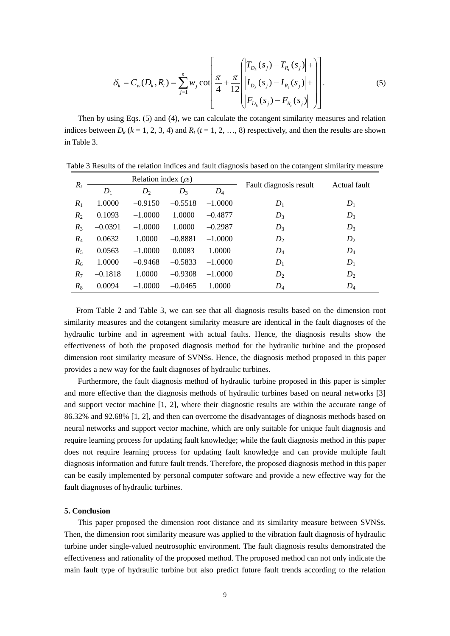$$
\delta_{k} = C_{w}(D_{k}, R_{t}) = \sum_{j=1}^{n} w_{j} \cot \left( \frac{\pi}{4} + \frac{\pi}{12} \left( \left| I_{D_{k}}(s_{j}) - I_{R_{t}}(s_{j}) \right| + \left| I_{D_{k}}(s_{j}) - I_{R_{t}}(s_{j}) \right| + \left| I_{D_{k}}(s_{j}) - I_{R_{t}}(s_{j}) \right| \right) \right).
$$
\n(5)

Then by using Eqs. (5) and (4), we can calculate the cotangent similarity measures and relation indices between  $D_k$  ( $k = 1, 2, 3, 4$ ) and  $R_t$  ( $t = 1, 2, ..., 8$ ) respectively, and then the results are shown in Table 3.

| $R_t$ | Relation index $(\rho_k)$ |           |           |           | Fault diagnosis result | Actual fault |
|-------|---------------------------|-----------|-----------|-----------|------------------------|--------------|
|       | $D_1$                     | $D_2$     | $D_3$     | $D_4$     |                        |              |
| $R_1$ | 1.0000                    | $-0.9150$ | $-0.5518$ | $-1.0000$ | $D_1$                  | $D_1$        |
| $R_2$ | 0.1093                    | $-1.0000$ | 1.0000    | $-0.4877$ | $D_3$                  | $D_3$        |
| $R_3$ | $-0.0391$                 | $-1.0000$ | 1.0000    | $-0.2987$ | $D_3$                  | $D_3$        |
| $R_4$ | 0.0632                    | 1.0000    | $-0.8881$ | $-1.0000$ | $D_2$                  | $D_2$        |
| $R_5$ | 0.0563                    | $-1.0000$ | 0.0083    | 1.0000    | $D_4$                  | $D_4$        |
| $R_6$ | 1.0000                    | $-0.9468$ | $-0.5833$ | $-1.0000$ | $D_1$                  | $D_1$        |
| $R_7$ | $-0.1818$                 | 1.0000    | $-0.9308$ | $-1.0000$ | $D_2$                  | $D_2$        |
| $R_8$ | 0.0094                    | $-1.0000$ | $-0.0465$ | 1.0000    | $D_4$                  | $D_4$        |

Table 3 Results of the relation indices and fault diagnosis based on the cotangent similarity measure

From Table 2 and Table 3, we can see that all diagnosis results based on the dimension root similarity measures and the cotangent similarity measure are identical in the fault diagnoses of the hydraulic turbine and in agreement with actual faults. Hence, the diagnosis results show the effectiveness of both the proposed diagnosis method for the hydraulic turbine and the proposed dimension root similarity measure of SVNSs. Hence, the diagnosis method proposed in this paper provides a new way for the fault diagnoses of hydraulic turbines.

Furthermore, the fault diagnosis method of hydraulic turbine proposed in this paper is simpler and more effective than the diagnosis methods of hydraulic turbines based on neural networks [3] and support vector machine [1, 2], where their diagnostic results are within the accurate range of 86.32% and 92.68% [1, 2], and then can overcome the disadvantages of diagnosis methods based on neural networks and support vector machine, which are only suitable for unique fault diagnosis and require learning process for updating fault knowledge; while the fault diagnosis method in this paper does not require learning process for updating fault knowledge and can provide multiple fault diagnosis information and future fault trends. Therefore, the proposed diagnosis method in this paper can be easily implemented by personal computer software and provide a new effective way for the fault diagnoses of hydraulic turbines.

# **5. Conclusion**

This paper proposed the dimension root distance and its similarity measure between SVNSs. Then, the dimension root similarity measure was applied to the vibration fault diagnosis of hydraulic turbine under single-valued neutrosophic environment. The fault diagnosis results demonstrated the effectiveness and rationality of the proposed method. The proposed method can not only indicate the main fault type of hydraulic turbine but also predict future fault trends according to the relation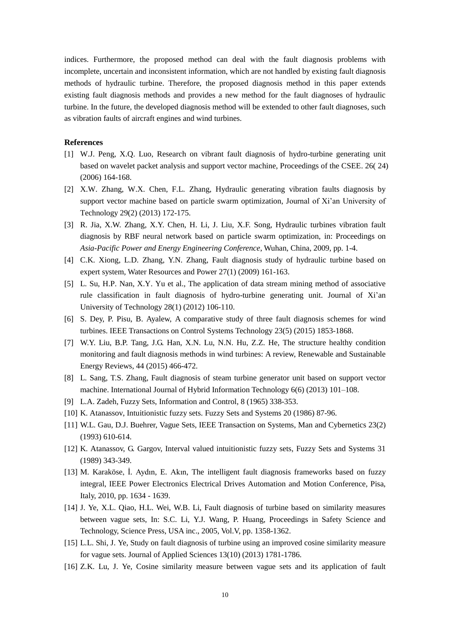indices. Furthermore, the proposed method can deal with the fault diagnosis problems with incomplete, uncertain and inconsistent information, which are not handled by existing fault diagnosis methods of hydraulic turbine. Therefore, the proposed diagnosis method in this paper extends existing fault diagnosis methods and provides a new method for the fault diagnoses of hydraulic turbine. In the future, the developed diagnosis method will be extended to other fault diagnoses, such as vibration faults of aircraft engines and wind turbines.

# **References**

- [1] W.J. Peng, X.Q. Luo, Research on vibrant fault diagnosis of hydro-turbine generating unit based on wavelet packet analysis and support vector machine, Proceedings of the CSEE. 26( 24) (2006) 164-168.
- [2] X.W. Zhang, W.X. Chen, F.L. Zhang, Hydraulic generating vibration faults diagnosis by support vector machine based on particle swarm optimization, Journal of Xi'an University of Technology 29(2) (2013) 172-175.
- [3] R. Jia, X.W. Zhang, X.Y. Chen, H. Li, J. Liu, X.F. Song, Hydraulic turbines vibration fault diagnosis by RBF neural network based on particle swarm optimization, in: Proceedings on *Asia-Pacific Power and Energy Engineering Conference*, Wuhan, China, 2009, pp. 1-4.
- [4] C.K. Xiong, L.D. Zhang, Y.N. Zhang, Fault diagnosis study of hydraulic turbine based on expert system, Water Resources and Power 27(1) (2009) 161-163.
- [5] L. Su, H.P. Nan, X.Y. Yu et al., The application of data stream mining method of associative rule classification in fault diagnosis of hydro-turbine generating unit. Journal of Xi'an University of Technology 28(1) (2012) 106-110.
- [6] S. Dey, P. Pisu, B. Ayalew, A comparative study of three fault diagnosis schemes for wind turbines. IEEE Transactions on Control Systems Technology 23(5) (2015) 1853-1868.
- [7] W.Y. Liu, B.P. Tang, J.G. Han, X.N. Lu, N.N. Hu, Z.Z. He, The structure healthy condition monitoring and fault diagnosis methods in wind turbines: A review, Renewable and Sustainable Energy Reviews, 44 (2015) 466-472.
- [8] L. Sang, T.S. Zhang, Fault diagnosis of steam turbine generator unit based on support vector machine. International Journal of Hybrid Information Technology 6(6) (2013) 101–108.
- [9] L.A. Zadeh, Fuzzy Sets, Information and Control, 8 (1965) 338-353.
- [10] K. Atanassov, Intuitionistic fuzzy sets. Fuzzy Sets and Systems 20 (1986) 87-96.
- [11] W.L. Gau, D.J. Buehrer, Vague Sets, IEEE Transaction on Systems, Man and Cybernetics 23(2) (1993) 610-614.
- [12] K. Atanassov, G. Gargov, Interval valued intuitionistic fuzzy sets, Fuzzy Sets and Systems 31 (1989) 343-349.
- [13] M. Karaköse, İ. Aydın, E. Akın, The intelligent fault diagnosis frameworks based on fuzzy integral, IEEE Power Electronics Electrical Drives Automation and Motion Conference, Pisa, Italy, 2010, pp. 1634 - 1639.
- [14] J. Ye, X.L. Qiao, H.L. Wei, W.B. Li, Fault diagnosis of turbine based on similarity measures between vague sets, In: S.C. Li, Y.J. Wang, P. Huang, Proceedings in Safety Science and Technology, Science Press, USA inc., 2005, Vol.V, pp. 1358-1362.
- [15] L.L. Shi, J. Ye, Study on fault diagnosis of turbine using an improved cosine similarity measure for vague sets. Journal of Applied Sciences 13(10) (2013) 1781-1786.
- [16] Z.K. Lu, J. Ye, Cosine similarity measure between vague sets and its application of fault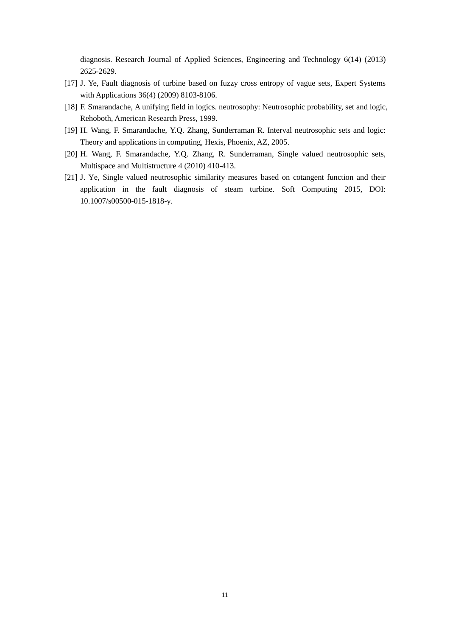diagnosis. Research Journal of Applied Sciences, Engineering and Technology 6(14) (2013) 2625-2629.

- [17] J. Ye, Fault diagnosis of turbine based on fuzzy cross entropy of vague sets, Expert Systems with Applications 36(4) (2009) 8103-8106.
- [18] F. Smarandache, A unifying field in logics. neutrosophy: Neutrosophic probability, set and logic, Rehoboth, American Research Press, 1999.
- [19] H. Wang, F. Smarandache, Y.Q. Zhang, Sunderraman R. Interval neutrosophic sets and logic: Theory and applications in computing, Hexis, Phoenix, AZ, 2005.
- [20] H. Wang, F. Smarandache, Y.Q. Zhang, R. Sunderraman, Single valued neutrosophic sets, Multispace and Multistructure 4 (2010) 410-413.
- [21] J. Ye, Single valued neutrosophic similarity measures based on cotangent function and their application in the fault diagnosis of steam turbine. Soft Computing 2015, DOI: 10.1007/s00500-015-1818-y.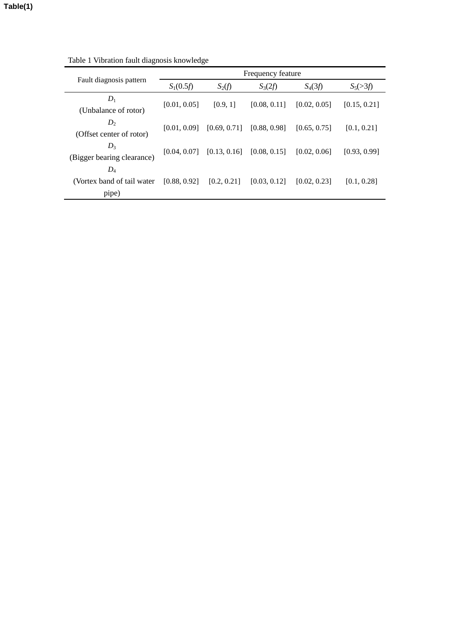|                                               | Frequency feature |                               |              |              |              |  |
|-----------------------------------------------|-------------------|-------------------------------|--------------|--------------|--------------|--|
| Fault diagnosis pattern                       | $S_1(0.5f)$       | $S_2(f)$                      | $S_3(2f)$    | $S_4(3f)$    | $S_5(>3f)$   |  |
| $D_1$<br>(Unbalance of rotor)                 | [0.01, 0.05]      | [0.9, 1]                      | [0.08, 0.11] | [0.02, 0.05] | [0.15, 0.21] |  |
| $D_{2}$<br>(Offset center of rotor)           | [0.01, 0.09]      | [0.69, 0.71]                  | [0.88, 0.98] | [0.65, 0.75] | [0.1, 0.21]  |  |
| $D_3$<br>(Bigger bearing clearance)           | [0.04, 0.07]      | $[0.13, 0.16]$ $[0.08, 0.15]$ |              | [0.02, 0.06] | [0.93, 0.99] |  |
| $D_4$<br>(Vortex band of tail water)<br>pipe) | [0.88, 0.92]      | [0.2, 0.21]                   | [0.03, 0.12] | [0.02, 0.23] | [0.1, 0.28]  |  |

Table 1 Vibration fault diagnosis knowledge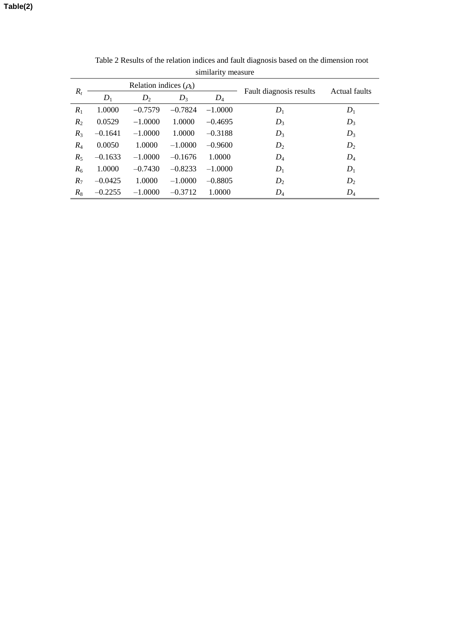| ommany mousie  |                             |           |           |           |                         |               |  |
|----------------|-----------------------------|-----------|-----------|-----------|-------------------------|---------------|--|
|                | Relation indices $(\rho_k)$ |           |           |           |                         | Actual faults |  |
| $R_t$          | $D_1$                       | $D_2$     | $D_3$     | $D_4$     | Fault diagnosis results |               |  |
| $R_1$          | 1.0000                      | $-0.7579$ | $-0.7824$ | $-1.0000$ | $D_1$                   | $D_1$         |  |
| R <sub>2</sub> | 0.0529                      | $-1.0000$ | 1.0000    | $-0.4695$ | $D_3$                   | $D_3$         |  |
| $R_3$          | $-0.1641$                   | $-1.0000$ | 1.0000    | $-0.3188$ | $D_3$                   | $D_3$         |  |
| $R_4$          | 0.0050                      | 1.0000    | $-1.0000$ | $-0.9600$ | $D_2$                   | $D_2$         |  |
| $R_5$          | $-0.1633$                   | $-1.0000$ | $-0.1676$ | 1.0000    | $D_4$                   | $D_4$         |  |
| $R_6$          | 1.0000                      | $-0.7430$ | $-0.8233$ | $-1.0000$ | $D_1$                   | $D_1$         |  |
| $R_7$          | $-0.0425$                   | 1.0000    | $-1.0000$ | $-0.8805$ | $D_2$                   | $D_2$         |  |
| $R_8$          | $-0.2255$                   | $-1.0000$ | $-0.3712$ | 1.0000    | $D_4$                   | $D_4$         |  |
|                |                             |           |           |           |                         |               |  |

Table 2 Results of the relation indices and fault diagnosis based on the dimension root similarity measure